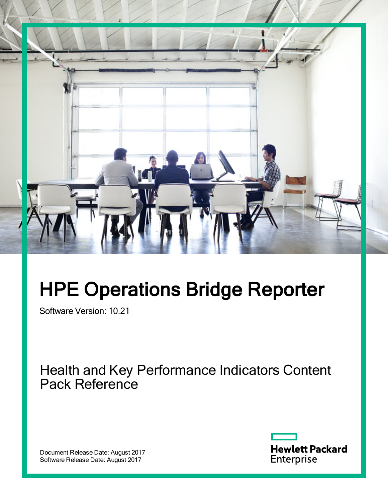

# HPE Operations Bridge Reporter

Software Version: 10.21

Health and Key Performance Indicators Content Pack Reference

Document Release Date: August 2017 Software Release Date: August 2017

**Hewlett Packard** Enterprise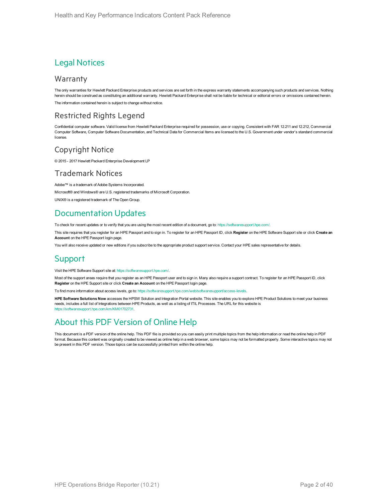#### Legal Notices

#### Warranty

The only warranties for Hewlett Packard Enterprise products and services are set forth in the express warranty statements accompanying such products and services. Nothing herein should be construed as constituting an additional warranty. Hewlett Packard Enterprise shall not be liable for technical or editorial errors or omissions contained herein. The information contained herein is subject to change without notice.

#### Restricted Rights Legend

Confidential computer software. Valid license from Hewlett Packard Enterprise required for possession, use or copying. Consistent with FAR 12.211 and 12.212, Commercial Computer Software, Computer Software Documentation, and Technical Data for Commercial Items are licensed to the U.S. Government under vendor's standard commercial license.

#### Copyright Notice

© 2015 - 2017 Hewlett Packard Enterprise Development LP

#### Trademark Notices

Adobe™ is a trademark of Adobe Systems Incorporated.

Microsoft® and Windows® are U.S. registered trademarks of Microsoft Corporation.

UNIX® is a registered trademark of The Open Group.

#### Documentation Updates

To check for recent updates or to verify that you are using the most recent edition of a document, go to: <https://softwaresupport.hpe.com/>.

This site requires that you register for an HPE Passport and to sign in. To register for an HPE Passport ID, click **Register** on the HPE Software Support site or click **Create an Account** on the HPE Passport login page.

You will also receive updated or new editions if you subscribe to the appropriate product support service. Contact your HPE sales representative for details.

#### **Support**

Visit the HPE Software Support site at: <https://softwaresupport.hpe.com/>.

Most of the support areas require that you register as an HPE Passport user and to sign in. Many also require a support contract. To register for an HPE Passport ID, click **Register** on the HPE Support site or click **Create an Account** on the HPE Passport login page.

To find more information about access levels, go to: <https://softwaresupport.hpe.com/web/softwaresupport/access-levels>.

**HPE Software Solutions Now** accesses the HPSW Solution and Integration Portal website. This site enables you to explore HPE Product Solutions to meet your business needs, includes a full list of Integrations between HPE Products, as well as a listing of ITIL Processes. The URL for this website is [https://softwaresupport.hpe.com/km/KM01702731.](https://softwaresupport.hpe.com/km/KM01702731)

#### About this PDF Version of Online Help

This document is a PDF version of the online help. This PDF file is provided so you can easily print multiple topics from the help information or read the online help in PDF format. Because this content was originally created to be viewed as online help in a web browser, some topics may not be formatted properly. Some interactive topics may not be present in this PDF version. Those topics can be successfully printed from within the online help.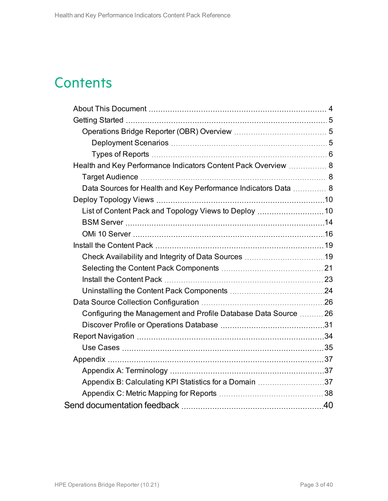## **Contents**

| Health and Key Performance Indicators Content Pack Overview  8  |  |
|-----------------------------------------------------------------|--|
|                                                                 |  |
| Data Sources for Health and Key Performance Indicators Data  8  |  |
|                                                                 |  |
|                                                                 |  |
|                                                                 |  |
|                                                                 |  |
|                                                                 |  |
|                                                                 |  |
|                                                                 |  |
|                                                                 |  |
|                                                                 |  |
|                                                                 |  |
| Configuring the Management and Profile Database Data Source  26 |  |
|                                                                 |  |
|                                                                 |  |
|                                                                 |  |
|                                                                 |  |
|                                                                 |  |
| Appendix B: Calculating KPI Statistics for a Domain 37          |  |
|                                                                 |  |
|                                                                 |  |
|                                                                 |  |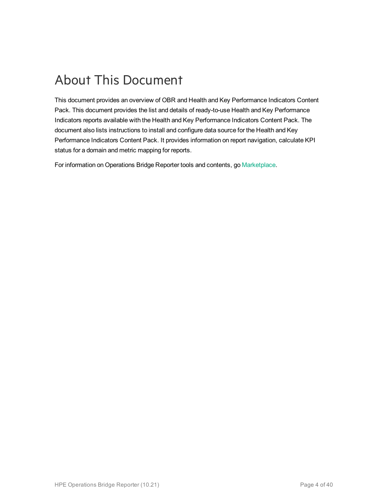## <span id="page-3-0"></span>About This Document

This document provides an overview of OBR and Health and Key Performance Indicators Content Pack. This document provides the list and details of ready-to-use Health and Key Performance Indicators reports available with the Health and Key Performance Indicators Content Pack. The document also lists instructions to install and configure data source for the Health and Key Performance Indicators Content Pack. It provides information on report navigation, calculate KPI status for a domain and metric mapping for reports.

For information on Operations Bridge Reporter tools and contents, go [Marketplace](https://marketplace.saas.hpe.com/itom/category/all?product=Operations%20Bridge%20Reporter&version=All%20versions&company=All%20companies).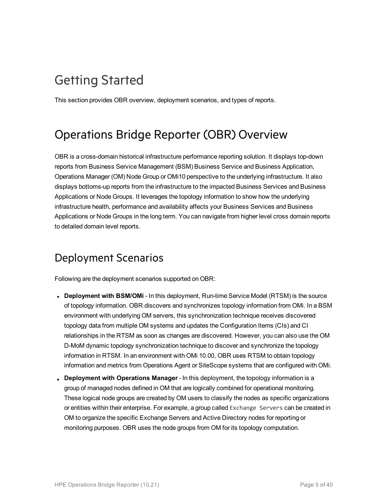## <span id="page-4-0"></span>Getting Started

<span id="page-4-1"></span>This section provides OBR overview, deployment scenarios, and types of reports.

### Operations Bridge Reporter (OBR) Overview

OBR is a cross-domain historical infrastructure performance reporting solution. It displays top-down reports from Business Service Management (BSM) Business Service and Business Application, Operations Manager (OM) Node Group or OMi10 perspective to the underlying infrastructure. It also displays bottoms-up reports from the infrastructure to the impacted Business Services and Business Applications or Node Groups. It leverages the topology information to show how the underlying infrastructure health, performance and availability affects your Business Services and Business Applications or Node Groups in the long term. You can navigate from higher level cross domain reports to detailed domain level reports.

### <span id="page-4-2"></span>Deployment Scenarios

Following are the deployment scenarios supported on OBR:

- Deployment with BSM/OMi In this deployment, Run-time Service Model (RTSM) is the source of topology information. OBR discovers and synchronizes topology information from OMi. In a BSM environment with underlying OM servers, this synchronization technique receives discovered topology data from multiple OM systems and updates the Configuration Items (CIs) and CI relationships in the RTSM as soon as changes are discovered. However, you can also use the OM D-MoM dynamic topology synchronization technique to discover and synchronize the topology information in RTSM. In an environment with OMi 10.00, OBR uses RTSM to obtain topology information and metrics from Operations Agent or SiteScope systems that are configured with OMi.
- **Deployment with Operations Manager** In this deployment, the topology information is a group of managed nodes defined in OM that are logically combined for operational monitoring. These logical node groups are created by OM users to classify the nodes as specific organizations or entities within their enterprise. For example, a group called Exchange Servers can be created in OM to organize the specific Exchange Servers and Active Directory nodes for reporting or monitoring purposes. OBR uses the node groups from OM for its topology computation.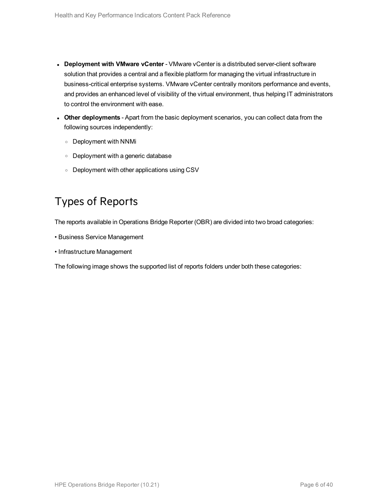- <sup>l</sup> **Deployment with VMware vCenter** VMware vCenter is a distributed server-client software solution that provides a central and a flexible platform for managing the virtual infrastructure in business-critical enterprise systems. VMware vCenter centrally monitors performance and events, and provides an enhanced level of visibility of the virtual environment, thus helping IT administrators to control the environment with ease.
- **.** Other deployments Apart from the basic deployment scenarios, you can collect data from the following sources independently:
	- <sup>o</sup> Deployment with NNMi
	- <sup>o</sup> Deployment with a generic database
	- <sup>o</sup> Deployment with other applications using CSV

### <span id="page-5-0"></span>Types of Reports

The reports available in Operations Bridge Reporter (OBR) are divided into two broad categories:

- Business Service Management
- Infrastructure Management

The following image shows the supported list of reports folders under both these categories: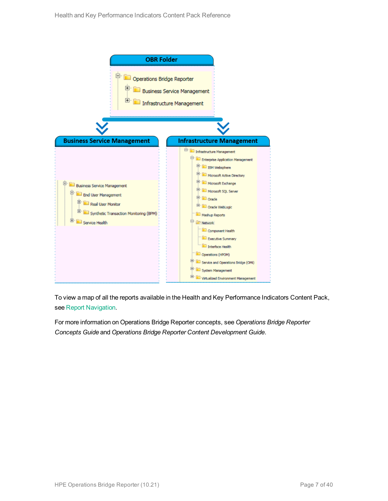

To view a map of all the reports available in the Health and Key Performance Indicators Content Pack, see Report [Navigation](#page-33-0).

For more information on Operations Bridge Reporter concepts, see *Operations Bridge Reporter Concepts Guide* and *Operations Bridge Reporter Content Development Guide*.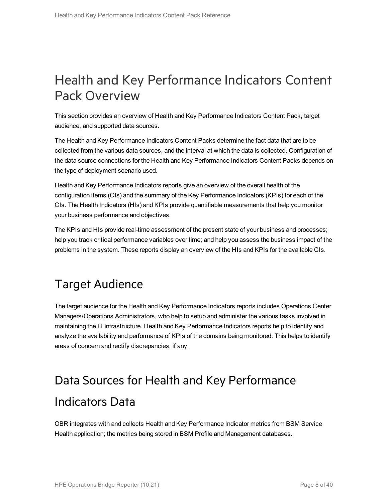## <span id="page-7-0"></span>Health and Key Performance Indicators Content Pack Overview

This section provides an overview of Health and Key Performance Indicators Content Pack, target audience, and supported data sources.

The Health and Key Performance Indicators Content Packs determine the fact data that are to be collected from the various data sources, and the interval at which the data is collected. Configuration of the data source connections for the Health and Key Performance Indicators Content Packs depends on the type of deployment scenario used.

Health and Key Performance Indicators reports give an overview of the overall health of the configuration items (CIs) and the summary of the Key Performance Indicators (KPIs) for each of the CIs. The Health Indicators (HIs) and KPIs provide quantifiable measurements that help you monitor your business performance and objectives.

The KPIs and HIs provide real-time assessment of the present state of your business and processes; help you track critical performance variables over time; and help you assess the business impact of the problems in the system. These reports display an overview of the HIs and KPIs for the available CIs.

### <span id="page-7-1"></span>Target Audience

The target audience for the Health and Key Performance Indicators reports includes Operations Center Managers/Operations Administrators, who help to setup and administer the various tasks involved in maintaining the IT infrastructure. Health and Key Performance Indicators reports help to identify and analyze the availability and performance of KPIs of the domains being monitored. This helps to identify areas of concern and rectify discrepancies, if any.

## <span id="page-7-2"></span>Data Sources for Health and Key Performance Indicators Data

OBR integrates with and collects Health and Key Performance Indicator metrics from BSM Service Health application; the metrics being stored in BSM Profile and Management databases.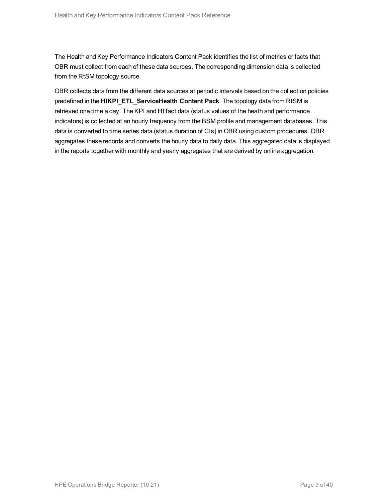The Health and Key Performance Indicators Content Pack identifies the list of metrics or facts that OBR must collect from each of these data sources. The corresponding dimension data is collected from the RtSM topology source.

OBR collects data from the different data sources at periodic intervals based on the collection policies predefined in the **HIKPI\_ETL\_ServiceHealth Content Pack**. The topology data from RtSM is retrieved one time a day. The KPI and HI fact data (status values of the heath and performance indicators) is collected at an hourly frequency from the BSM profile and management databases. This data is converted to time series data (status duration of CIs) in OBR using custom procedures. OBR aggregates these records and converts the hourly data to daily data. This aggregated data is displayed in the reports together with monthly and yearly aggregates that are derived by online aggregation.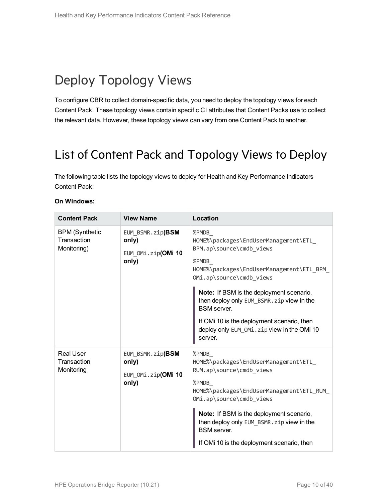## <span id="page-9-0"></span>Deploy Topology Views

To configure OBR to collect domain-specific data, you need to deploy the topology views for each Content Pack. These topology views contain specific CI attributes that Content Packs use to collect the relevant data. However, these topology views can vary from one Content Pack to another.

### <span id="page-9-1"></span>List of Content Pack and Topology Views to Deploy

The following table lists the topology views to deploy for Health and Key Performance Indicators Content Pack:

| <b>Content Pack</b>                                 | <b>View Name</b>                                         | Location                                                                                                                                                                                                                                                                                                                                                                          |
|-----------------------------------------------------|----------------------------------------------------------|-----------------------------------------------------------------------------------------------------------------------------------------------------------------------------------------------------------------------------------------------------------------------------------------------------------------------------------------------------------------------------------|
| <b>BPM</b> (Synthetic<br>Transaction<br>Monitoring) | EUM BSMR.zip(BSM<br>only)<br>EUM OMi.zip(OMi 10<br>only) | %PMDB<br>HOME%\packages\EndUserManagement\ETL<br>BPM.ap\source\cmdb views<br>%PMDB<br>HOME%\packages\EndUserManagement\ETL BPM<br>OMi.ap\source\cmdb views<br>Note: If BSM is the deployment scenario,<br>then deploy only EUM BSMR. zip view in the<br><b>BSM</b> server.<br>If OMi 10 is the deployment scenario, then<br>deploy only EUM_OMi.zip view in the OMi 10<br>server. |
| <b>Real User</b><br>Transaction<br>Monitoring       | EUM BSMR.zip(BSM<br>only)<br>EUM OMi.zip(OMi 10<br>only) | %PMDB<br>HOME%\packages\EndUserManagement\ETL<br>RUM.ap\source\cmdb_views<br>%PMDB<br>HOME%\packages\EndUserManagement\ETL RUM<br>OMi.ap\source\cmdb_views<br>Note: If BSM is the deployment scenario,<br>then deploy only EUM_BSMR. zip view in the<br><b>BSM</b> server.<br>If OMi 10 is the deployment scenario, then                                                          |

#### **On Windows:**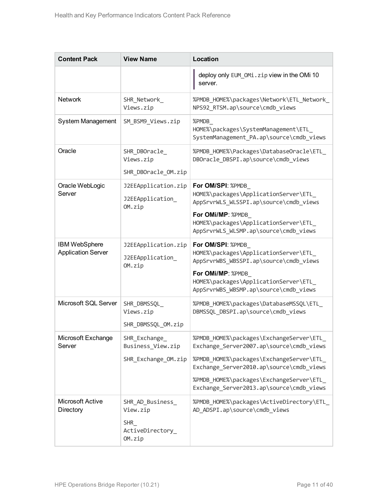| <b>Content Pack</b>                               | <b>View Name</b>                                  | Location                                                                                             |
|---------------------------------------------------|---------------------------------------------------|------------------------------------------------------------------------------------------------------|
|                                                   |                                                   | deploy only EUM_OMi.zip view in the OMi 10<br>server.                                                |
| <b>Network</b>                                    | SHR_Network_<br>Views.zip                         | %PMDB_HOME%\packages\Network\ETL_Network_<br>NPS92_RTSM.ap\source\cmdb_views                         |
| System Management                                 | SM_BSM9_Views.zip                                 | %PMDB<br>HOME%\packages\SystemManagement\ETL<br>SystemManagement PA.ap\source\cmdb views             |
| Oracle                                            | SHR_DBOracle_<br>Views.zip<br>SHR_DBOracle_OM.zip | %PMDB_HOME%\Packages\DatabaseOracle\ETL_<br>DBOracle_DBSPI.ap\source\cmdb_views                      |
|                                                   |                                                   |                                                                                                      |
| Oracle WebLogic<br>Server                         | J2EEApplication.zip<br>J2EEApplication_<br>OM.zip | For OM/SPI: %PMDB<br>HOME%\packages\ApplicationServer\ETL_<br>AppSrvrWLS_WLSSPI.ap\source\cmdb_views |
|                                                   |                                                   | For OMi/MP: %PMDB_<br>HOME%\packages\ApplicationServer\ETL_<br>AppSrvrWLS_WLSMP.ap\source\cmdb_views |
| <b>IBM WebSphere</b><br><b>Application Server</b> | J2EEApplication.zip<br>J2EEApplication<br>OM.zip  | For OM/SPI: %PMDB<br>HOME%\packages\ApplicationServer\ETL_<br>AppSrvrWBS_WBSSPI.ap\source\cmdb_views |
|                                                   |                                                   | For OMi/MP: %PMDB<br>HOME%\packages\ApplicationServer\ETL_<br>AppSrvrWBS_WBSMP.ap\source\cmdb_views  |
| Microsoft SQL Server                              | SHR_DBMSSQL_<br>Views.zip                         | %PMDB_HOME%\packages\DatabaseMSSQL\ETL_<br>DBMSSQL_DBSPI.ap\source\cmdb_views                        |
|                                                   | SHR_DBMSSQL_OM.zip                                |                                                                                                      |
| Microsoft Exchange<br>Server                      | SHR_Exchange_<br>Business_View.zip                | %PMDB_HOME%\packages\ExchangeServer\ETL_<br>Exchange_Server2007.ap\source\cmdb_views                 |
|                                                   | SHR Exchange OM.zip                               | %PMDB_HOME%\packages\ExchangeServer\ETL_<br>Exchange_Server2010.ap\source\cmdb_views                 |
|                                                   |                                                   | %PMDB_HOME%\packages\ExchangeServer\ETL_<br>Exchange_Server2013.ap\source\cmdb_views                 |
| <b>Microsoft Active</b><br>Directory              | SHR AD Business<br>View.zip                       | %PMDB_HOME%\packages\ActiveDirectory\ETL_<br>AD_ADSPI.ap\source\cmdb_views                           |
|                                                   | <b>SHR</b><br>ActiveDirectory_<br>OM.zip          |                                                                                                      |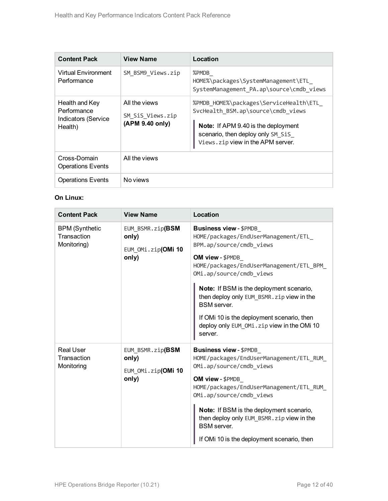| <b>Content Pack</b>                                             | <b>View Name</b>                                     | Location                                                                                                                                                                                             |
|-----------------------------------------------------------------|------------------------------------------------------|------------------------------------------------------------------------------------------------------------------------------------------------------------------------------------------------------|
| <b>Virtual Environment</b><br>Performance                       | SM BSM9 Views.zip                                    | %PMDB<br>HOME%\packages\SystemManagement\ETL<br>SystemManagement_PA.ap\source\cmdb_views                                                                                                             |
| Health and Key<br>Performance<br>Indicators (Service<br>Health) | All the views<br>SM SiS Views.zip<br>(APM 9.40 only) | %PMDB HOME%\packages\ServiceHealth\ETL<br>SvcHealth BSM.ap\source\cmdb views<br><b>Note:</b> If APM 9.40 is the deployment<br>scenario, then deploy only SM SiS<br>Views.zip view in the APM server. |
| Cross-Domain<br><b>Operations Events</b>                        | All the views                                        |                                                                                                                                                                                                      |
| <b>Operations Events</b>                                        | No views                                             |                                                                                                                                                                                                      |

#### **On Linux:**

| <b>Content Pack</b>                                 | <b>View Name</b>                                         | Location                                                                                                                                                                                                                                                                                                                                                                                                           |
|-----------------------------------------------------|----------------------------------------------------------|--------------------------------------------------------------------------------------------------------------------------------------------------------------------------------------------------------------------------------------------------------------------------------------------------------------------------------------------------------------------------------------------------------------------|
| <b>BPM</b> (Synthetic<br>Transaction<br>Monitoring) | EUM_BSMR.zip(BSM<br>only)<br>EUM OMi.zip(OMi 10<br>only) | <b>Business view - \$PMDB</b><br>HOME/packages/EndUserManagement/ETL<br>BPM.ap/source/cmdb views<br>OM view - \$PMDB<br>HOME/packages/EndUserManagement/ETL BPM<br>OMi.ap/source/cmdb_views<br>Note: If BSM is the deployment scenario,<br>then deploy only EUM_BSMR. zip view in the<br><b>BSM</b> server.<br>If OMi 10 is the deployment scenario, then<br>deploy only EUM_OMi.zip view in the OMi 10<br>server. |
| <b>Real User</b><br>Transaction<br>Monitoring       | EUM_BSMR.zip(BSM<br>only)<br>EUM OMi.zip(OMi 10<br>only) | <b>Business view - \$PMDB</b><br>HOME/packages/EndUserManagement/ETL_RUM_<br>OMi.ap/source/cmdb views<br>OM view - \$PMDB<br>HOME/packages/EndUserManagement/ETL RUM<br>OMi.ap/source/cmdb views<br>Note: If BSM is the deployment scenario,<br>then deploy only EUM BSMR. zip view in the<br><b>BSM</b> server.<br>If OMi 10 is the deployment scenario, then                                                     |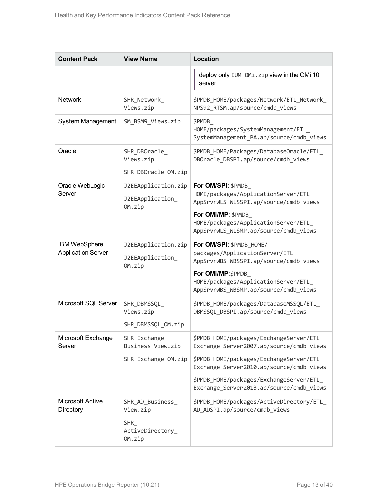| <b>Content Pack</b>                               | <b>View Name</b>                                                         | Location                                                                                                                                                                                                                                                             |
|---------------------------------------------------|--------------------------------------------------------------------------|----------------------------------------------------------------------------------------------------------------------------------------------------------------------------------------------------------------------------------------------------------------------|
|                                                   |                                                                          | deploy only EUM_OMi.zip view in the OMi 10<br>server.                                                                                                                                                                                                                |
| <b>Network</b>                                    | SHR_Network_<br>Views.zip                                                | \$PMDB_HOME/packages/Network/ETL_Network_<br>NPS92_RTSM.ap/source/cmdb_views                                                                                                                                                                                         |
| System Management                                 | SM_BSM9_Views.zip                                                        | \$PMDB<br>HOME/packages/SystemManagement/ETL<br>SystemManagement_PA.ap/source/cmdb_views                                                                                                                                                                             |
| Oracle                                            | SHR_DBOracle_<br>Views.zip<br>SHR_DBOracle_OM.zip                        | \$PMDB_HOME/Packages/DatabaseOracle/ETL_<br>DBOracle_DBSPI.ap/source/cmdb_views                                                                                                                                                                                      |
| Oracle WebLogic<br>Server                         | J2EEApplication.zip<br>J2EEApplication_<br>OM.zip                        | For OM/SPI: \$PMDB<br>HOME/packages/ApplicationServer/ETL<br>AppSrvrWLS WLSSPI.ap/source/cmdb views<br>For OMi/MP: \$PMDB<br>HOME/packages/ApplicationServer/ETL<br>AppSrvrWLS_WLSMP.ap/source/cmdb_views                                                            |
| <b>IBM WebSphere</b><br><b>Application Server</b> | J2EEApplication.zip<br>J2EEApplication_<br>OM.zip                        | For OM/SPI: \$PMDB_HOME/<br>packages/ApplicationServer/ETL<br>AppSrvrWBS_WBSSPI.ap/source/cmdb_views<br>For OMi/MP: \$PMDB<br>HOME/packages/ApplicationServer/ETL<br>AppSrvrWBS_WBSMP.ap/source/cmdb_views                                                           |
| Microsoft SQL Server                              | SHR_DBMSSQL_<br>Views.zip<br>SHR_DBMSSQL_OM.zip                          | \$PMDB_HOME/packages/DatabaseMSSQL/ETL_<br>DBMSSQL_DBSPI.ap/source/cmdb_views                                                                                                                                                                                        |
| Microsoft Exchange<br>Server                      | SHR_Exchange_<br>Business_View.zip<br>SHR Exchange OM.zip                | \$PMDB_HOME/packages/ExchangeServer/ETL_<br>Exchange_Server2007.ap/source/cmdb_views<br>\$PMDB_HOME/packages/ExchangeServer/ETL_<br>Exchange_Server2010.ap/source/cmdb_views<br>\$PMDB_HOME/packages/ExchangeServer/ETL_<br>Exchange_Server2013.ap/source/cmdb_views |
| <b>Microsoft Active</b><br>Directory              | SHR_AD_Business_<br>View.zip<br><b>SHR</b><br>ActiveDirectory_<br>OM.zip | \$PMDB_HOME/packages/ActiveDirectory/ETL_<br>AD_ADSPI.ap/source/cmdb_views                                                                                                                                                                                           |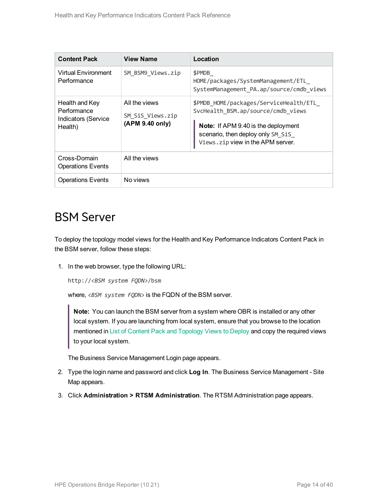| <b>Content Pack</b>                                                    | <b>View Name</b>                                     | Location                                                                                                                                                                                             |
|------------------------------------------------------------------------|------------------------------------------------------|------------------------------------------------------------------------------------------------------------------------------------------------------------------------------------------------------|
| Virtual Environment<br>Performance                                     | SM BSM9 Views.zip                                    | \$PMDB<br>HOME/packages/SystemManagement/ETL<br>SystemManagement_PA.ap/source/cmdb_views                                                                                                             |
| Health and Key<br>Performance<br><b>Indicators (Service</b><br>Health) | All the views<br>SM SiS Views.zip<br>(APM 9.40 only) | \$PMDB HOME/packages/ServiceHealth/ETL<br>SvcHealth BSM.ap/source/cmdb views<br><b>Note:</b> If APM 9.40 is the deployment<br>scenario, then deploy only SM SiS<br>Views.zip view in the APM server. |
| Cross-Domain<br><b>Operations Events</b>                               | All the views                                        |                                                                                                                                                                                                      |
| <b>Operations Events</b>                                               | No views                                             |                                                                                                                                                                                                      |

### <span id="page-13-0"></span>BSM Server

To deploy the topology model views for the Health and Key Performance Indicators Content Pack in the BSM server, follow these steps:

1. In the web browser, type the following URL:

```
http://<BSM system FQDN>/bsm
```
where, <BSM system FQDN> is the FQDN of the BSM server.

**Note:** You can launch the BSM server from a system where OBR is installed or any other local system. If you are launching from local system, ensure that you browse to the location mentioned in List of Content Pack and [Topology](#page-9-1) Views to Deploy and copy the required views to your local system.

The Business Service Management Login page appears.

- 2. Type the login name and password and click **Log In**. The Business Service Management Site Map appears.
- 3. Click **Administration > RTSM Administration**. The RTSM Administration page appears.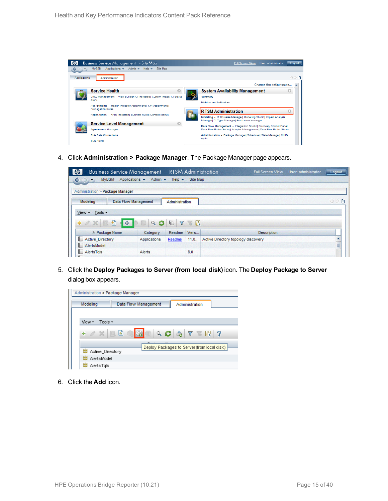

4. Click **Administration > Package Manager**. The Package Manager page appears.



5. Click the **Deploy Packages to Server (from local disk)** icon. The **Deploy Package to Server** dialog box appears.



6. Click the **Add** icon.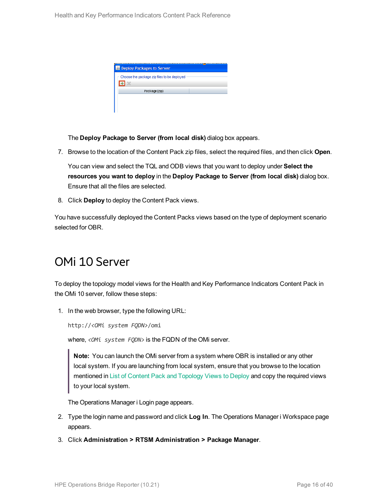| Deploy Packages to Server                   |  |
|---------------------------------------------|--|
| Choose the package zip files to be deployed |  |
| Package(zip)                                |  |
|                                             |  |

The **Deploy Package to Server (from local disk)** dialog box appears.

7. Browse to the location of the Content Pack zip files, select the required files, and then click **Open**.

You can view and select the TQL and ODB views that you want to deploy under **Select the resources you want to deploy** in the **Deploy Package to Server (from local disk)** dialog box. Ensure that all the files are selected.

8. Click **Deploy** to deploy the Content Pack views.

<span id="page-15-0"></span>You have successfully deployed the Content Packs views based on the type of deployment scenario selected for OBR.

### OMi 10 Server

To deploy the topology model views for the Health and Key Performance Indicators Content Pack in the OMi 10 server, follow these steps:

1. In the web browser, type the following URL:

http://*<OMi system FQDN>*/omi

where, *<OMi system FQDN>* is the FQDN of the OMi server.

**Note:** You can launch the OMi server from a system where OBR is installed or any other local system. If you are launching from local system, ensure that you browse to the location mentioned in List of Content Pack and [Topology](#page-9-1) Views to Deploy and copy the required views to your local system.

The Operations Manager i Login page appears.

- 2. Type the login name and password and click **Log In**. The Operations Manager i Workspace page appears.
- 3. Click **Administration > RTSM Administration > Package Manager**.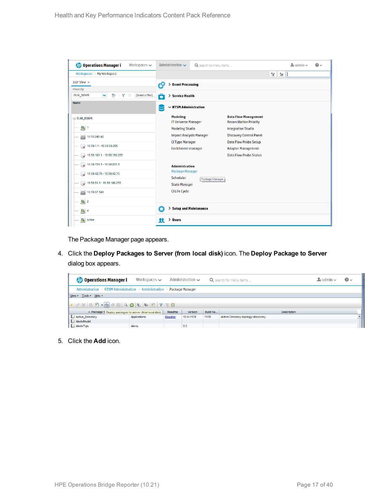| <b>Operations Manager i</b><br>Workspaces $\smile$ | Administration $\sim$                         | Q search for menu items                                       | $\Delta$ admin $\sim$<br>$\bullet$ |
|----------------------------------------------------|-----------------------------------------------|---------------------------------------------------------------|------------------------------------|
| Workspaces > My Workspace                          |                                               |                                                               | 間間                                 |
| 360° View x                                        | ť9<br>> Event Processing                      |                                                               |                                    |
| Hierarchy                                          |                                               |                                                               |                                    |
| EUM_BSMR<br>Þ<br>Y<br>[Select a Filter]<br>×<br>Ŵ  | 6<br>> Service Health                         |                                                               |                                    |
| Name                                               | $\sim$ RTSM Administration                    |                                                               |                                    |
| E EUM_BSMR                                         | <b>Modeling</b><br><b>IT Universe Manager</b> | <b>Data Flow Management</b><br><b>Reconciliation Priority</b> |                                    |
| $\boxed{6}$ 1                                      | <b>Modeling Studio</b>                        | <b>Integration Studio</b>                                     |                                    |
| 16.55.245.42                                       | <b>Impact Analysis Manager</b>                | <b>Discovery Control Panel</b>                                |                                    |
| $\bigotimes$ 16.59.1.1 - 16.59.50.255              | <b>CI Type Manager</b>                        | <b>Data Flow Probe Setup</b>                                  |                                    |
|                                                    | <b>Enrichment manager</b>                     | <b>Adapter Management</b>                                     |                                    |
| $\bigcirc$ 16.59.101.1 - 16.59.150.255             |                                               | <b>Data Flow Probe Status</b>                                 |                                    |
| $\bigcirc$ 16.59.151.1 - 16.59.255.1               | <b>Administration</b>                         |                                                               |                                    |
| $\bullet$ 16.59.42.70 - 16.59.42.70                | <b>Package Manager</b><br>Scheduler           | Package Manager                                               |                                    |
| $\bigcirc$ 16.59.51.1 - 16.59.100.255              | <b>State Manager</b>                          |                                                               |                                    |
| 16.59.67.149<br>▄                                  | <b>CI Life Cycle</b>                          |                                                               |                                    |
| $\left[ \bigcirc \right]$ 2                        |                                               |                                                               |                                    |
| $\bigcirc$ 4                                       | Ö<br>> Setup and Maintenance                  |                                                               |                                    |
| $\sigma$<br>Active                                 | > Users<br>22                                 |                                                               |                                    |

The Package Manager page appears.

4. Click the **Deploy Packages to Server (from local disk)** icon. The **Deploy Package to Server** dialog box appears.

| <b><i>OD</i></b> Operations Manager i                                   | Workspaces $\sim$ |        | Administration $\sim$ |          | Q search for menu items             | $\blacktriangle$ r admin $\blacktriangleright$ | $\bullet$ |
|-------------------------------------------------------------------------|-------------------|--------|-----------------------|----------|-------------------------------------|------------------------------------------------|-----------|
| Administration > RTSM Administration > Administration > Package Manager |                   |        |                       |          |                                     |                                                |           |
| View $\sqrt{ }$ Tools $\sqrt{ }$ Help $\sqrt{ }$                        |                   |        |                       |          |                                     |                                                |           |
|                                                                         |                   |        |                       |          |                                     |                                                |           |
| ≐ Package N Deploy packages to server (from local disk)                 |                   | Readme | Version               | Build Nu | <b>Description</b>                  |                                                |           |
| Active_Directory                                                        | Applications      | Readme | 13.0-1179             | 1179     | Active Directory topology discovery |                                                |           |
| AlertsModel                                                             |                   |        |                       |          |                                     |                                                |           |
| AlertsTqls                                                              | Alerts            |        | 8.0                   |          |                                     |                                                |           |

5. Click the **Add** icon.

L.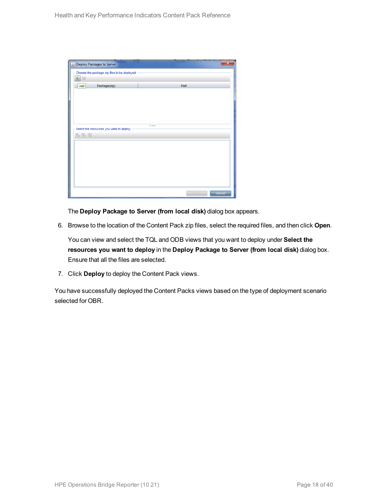| Deploy Packages to Server                   |        |        |
|---------------------------------------------|--------|--------|
| Choose the package zip files to be deployed |        |        |
| 壘<br>$\chi$                                 |        |        |
| Package(zip)<br>Add                         | Path   |        |
|                                             |        |        |
|                                             |        |        |
|                                             |        |        |
|                                             |        |        |
|                                             |        |        |
| Select the resources you want to deploy     |        |        |
| 名马路                                         |        |        |
|                                             |        |        |
|                                             |        |        |
|                                             |        |        |
|                                             |        |        |
|                                             |        |        |
|                                             |        |        |
|                                             |        |        |
|                                             | Deploy | Cancel |

The **Deploy Package to Server (from local disk)** dialog box appears.

6. Browse to the location of the Content Pack zip files, select the required files, and then click **Open**.

You can view and select the TQL and ODB views that you want to deploy under **Select the resources you want to deploy** in the **Deploy Package to Server (from local disk)** dialog box. Ensure that all the files are selected.

7. Click **Deploy** to deploy the Content Pack views.

You have successfully deployed the Content Packs views based on the type of deployment scenario selected for OBR.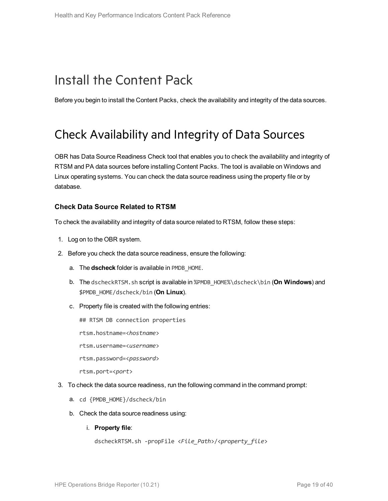### <span id="page-18-0"></span>Install the Content Pack

<span id="page-18-1"></span>Before you begin to install the Content Packs, check the availability and integrity of the data sources.

### Check Availability and Integrity of Data Sources

OBR has Data Source Readiness Check tool that enables you to check the availability and integrity of RTSM and PA data sources before installing Content Packs. The tool is available on Windows and Linux operating systems. You can check the data source readiness using the property file or by database.

#### **Check Data Source Related to RTSM**

To check the availability and integrity of data source related to RTSM, follow these steps:

- 1. Log on to the OBR system.
- 2. Before you check the data source readiness, ensure the following:
	- a. The **dscheck** folder is available in PMDB\_HOME.
	- b. The dscheckRTSM.sh script is available in %PMDB\_HOME%\dscheck\bin (**On Windows**) and \$PMDB\_HOME/dscheck/bin (**On Linux**).
	- c. Property file is created with the following entries:
		- ## RTSM DB connection properties
		- rtsm.hostname=<*hostname*>
		- rtsm.username=<*username*>
		- rtsm.password=<*password*>

rtsm.port=<*port*>

- 3. To check the data source readiness, run the following command in the command prompt:
	- a. cd {PMDB\_HOME}/dscheck/bin
	- b. Check the data source readiness using:
		- i. **Property file**:

```
dscheckRTSM.sh -propFile <File_Path>/<property_file>
```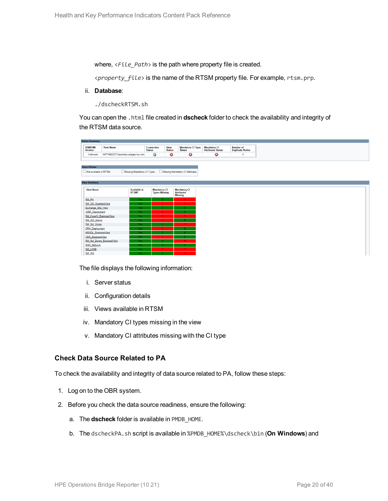where,  $\langle$ File Path> is the path where property file is created.

<*property\_file*> is the name of the RTSM property file. For example, rtsm.prp.

ii. **Database**:

./dscheckRTSM.sh

You can open the .html file created in **dscheck** folder to check the availability and integrity of the RTSM data source.

| <b>Status Summary</b>            |                                   |                            |                                    |                              |                                           |                                           |                                            |
|----------------------------------|-----------------------------------|----------------------------|------------------------------------|------------------------------|-------------------------------------------|-------------------------------------------|--------------------------------------------|
| <b>BSM/OMi</b><br><b>Version</b> | <b>Host Name</b>                  |                            | <b>Connection</b><br><b>Status</b> | <b>View</b><br><b>Status</b> | <b>Mandatory CI Type</b><br><b>Status</b> | <b>Mandatory CI<br/>Attributes Status</b> | <b>Number of</b><br><b>Duplicate Nodes</b> |
| Unknown                          | IWFVM02277.hpswlabs.adapps.hp.com |                            | Ø                                  | 0                            | 0                                         | Ø                                         | $\bullet$                                  |
|                                  |                                   |                            |                                    |                              |                                           |                                           |                                            |
|                                  |                                   |                            |                                    |                              |                                           |                                           |                                            |
| <b>Select Views:</b>             |                                   |                            |                                    |                              |                                           |                                           |                                            |
| Not available in RTSM            |                                   | Missing Mandatory CI Types |                                    |                              | Missing Mandatory CI Attributes           |                                           |                                            |
|                                  |                                   |                            |                                    |                              |                                           |                                           |                                            |
| <b>View Summary</b>              |                                   |                            |                                    |                              |                                           |                                           |                                            |
|                                  |                                   |                            |                                    |                              |                                           |                                           |                                            |
| <b>View Name</b>                 |                                   | <b>Available in</b>        | <b>Mandatory CI</b>                |                              | <b>Mandatory CI</b>                       |                                           |                                            |
|                                  |                                   | RTSM?                      | <b>Types Missing</b>               |                              | <b>Attributes</b><br><b>Missing</b>       |                                           |                                            |
| SM PA                            |                                   | Yes.                       |                                    |                              |                                           |                                           |                                            |
| SM SiS BusinessView              |                                   | Yes:                       |                                    |                              | $\blacktriangleleft$                      |                                           |                                            |
| Exchange Site View               |                                   | Yes.                       |                                    |                              |                                           |                                           |                                            |
| J2EE_Deployment                  |                                   | Yes:                       |                                    |                              |                                           |                                           |                                            |
| SM_HyperV_BusinessView           |                                   | Yes                        |                                    |                              | 3 <sup>1</sup>                            |                                           |                                            |
| SM_SiS_Server                    |                                   | Yes:                       |                                    |                              |                                           |                                           |                                            |
| SM Sol Zones                     |                                   | Yes.                       |                                    |                              |                                           |                                           |                                            |
| <b>ORA</b> Deployment            |                                   | Yes:                       |                                    |                              |                                           |                                           |                                            |
| MSSQL_BusinessView               |                                   | Yes.                       |                                    |                              |                                           |                                           |                                            |
| ORA BusinessView                 |                                   | Yes:                       |                                    |                              |                                           |                                           |                                            |
| SM_Sol_Zones_BusinessView        |                                   | Yes.                       |                                    |                              | 12 <sub>1</sub>                           |                                           |                                            |
| <b>SHR_Network</b>               |                                   | <b>Yes</b>                 |                                    |                              |                                           |                                           |                                            |
| <b>SM_LPAR</b>                   |                                   | Yes:                       |                                    |                              |                                           |                                           |                                            |
| SM SiS                           |                                   | Yes:                       |                                    |                              |                                           |                                           |                                            |

The file displays the following information:

- i. Server status
- ii. Configuration details
- iii. Views available in RTSM
- iv. Mandatory CI types missing in the view
- v. Mandatory CI attributes missing with the CI type

#### **Check Data Source Related to PA**

To check the availability and integrity of data source related to PA, follow these steps:

- 1. Log on to the OBR system.
- 2. Before you check the data source readiness, ensure the following:
	- a. The **dscheck** folder is available in PMDB\_HOME.
	- b. The dscheckPA.sh script is available in %PMDB\_HOME%\dscheck\bin (**On Windows**) and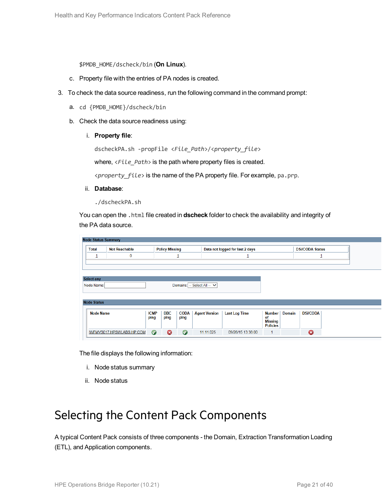\$PMDB\_HOME/dscheck/bin (**On Linux**).

- c. Property file with the entries of PA nodes is created.
- 3. To check the data source readiness, run the following command in the command prompt:
	- a. cd {PMDB\_HOME}/dscheck/bin
	- b. Check the data source readiness using:
		- i. **Property file**:

dscheckPA.sh -propFile <*File\_Path*>/<*property\_file*>

where,  $\langle$ File\_Path> is the path where property files is created.

<*property\_file*> is the name of the PA property file. For example, pa.prp.

- ii. **Database**:
	- ./dscheckPA.sh

You can open the .html file created in **dscheck** folder to check the availability and integrity of the PA data source.

| <b>Node Status Summary</b> |                           |             |                       |             |                             |                                 |                      |               |                        |  |
|----------------------------|---------------------------|-------------|-----------------------|-------------|-----------------------------|---------------------------------|----------------------|---------------|------------------------|--|
| <b>Total</b>               | <b>Not Reachable</b>      |             | <b>Policy Missing</b> |             |                             | Data not logged for last 2 days |                      |               | <b>DSi/CODA Status</b> |  |
| ┚                          | $\mathbf 0$               |             |                       | ┚           |                             |                                 |                      |               |                        |  |
|                            |                           |             |                       |             |                             |                                 |                      |               |                        |  |
|                            |                           |             |                       |             |                             |                                 |                      |               |                        |  |
| <b>Select any</b>          |                           |             |                       |             |                             |                                 |                      |               |                        |  |
| Node Name:                 |                           |             |                       |             | Domains: -- Select All -- V |                                 |                      |               |                        |  |
|                            |                           |             |                       |             |                             |                                 |                      |               |                        |  |
| <b>Node Status</b>         |                           |             |                       |             |                             |                                 |                      |               |                        |  |
|                            |                           |             |                       |             |                             |                                 |                      |               |                        |  |
| <b>Node Name</b>           |                           | <b>ICMP</b> | <b>BBC</b>            | <b>CODA</b> | <b>Agent Version</b>        | <b>Last Log Time</b>            | Number               | <b>Domain</b> | <b>DSi/CODA</b>        |  |
|                            |                           | ping        | ping                  | ping        |                             |                                 | of<br><b>Missing</b> |               |                        |  |
|                            |                           |             |                       |             |                             |                                 | <b>Policies</b>      |               |                        |  |
|                            | IWFMVS017.HPSWLABS.HP.COM | $\bullet$   | ణ                     | $\bullet$   | 11.11.025                   | 09/28/15 13:38:00               | 1                    |               | 0                      |  |

The file displays the following information:

- i. Node status summary
- ii. Node status

### <span id="page-20-0"></span>Selecting the Content Pack Components

A typical Content Pack consists of three components - the Domain, Extraction Transformation Loading (ETL), and Application components.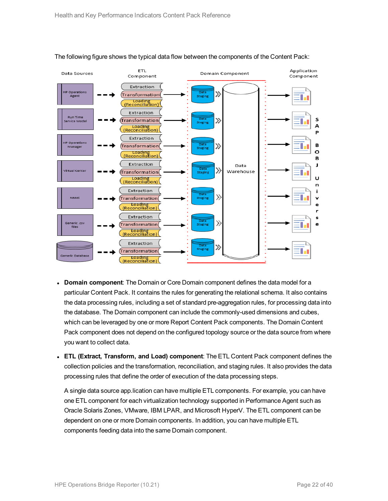

#### The following figure shows the typical data flow between the components of the Content Pack:

- **Domain component**: The Domain or Core Domain component defines the data model for a particular Content Pack. It contains the rules for generating the relational schema. It also contains the data processing rules, including a set of standard pre-aggregation rules, for processing data into the database. The Domain component can include the commonly-used dimensions and cubes, which can be leveraged by one or more Report Content Pack components. The Domain Content Pack component does not depend on the configured topology source or the data source from where you want to collect data.
- <sup>l</sup> **ETL (Extract, Transform, and Load) component**: The ETL Content Pack component defines the collection policies and the transformation, reconciliation, and staging rules. It also provides the data processing rules that define the order of execution of the data processing steps.

A single data source app.lication can have multiple ETL components. For example, you can have one ETL component for each virtualization technology supported in Performance Agent such as Oracle Solaris Zones, VMware, IBM LPAR, and Microsoft HyperV. The ETL component can be dependent on one or more Domain components. In addition, you can have multiple ETL components feeding data into the same Domain component.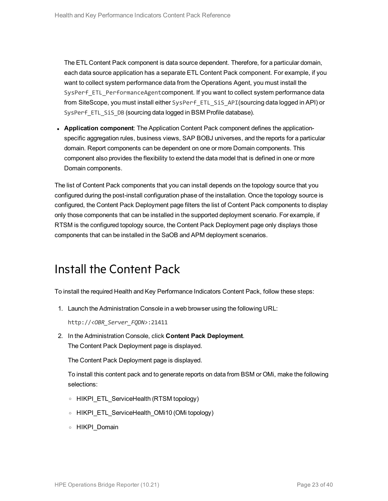The ETL Content Pack component is data source dependent. Therefore, for a particular domain, each data source application has a separate ETL Content Pack component. For example, if you want to collect system performance data from the Operations Agent, you must install the SysPerf\_ETL\_PerformanceAgentcomponent. If you want to collect system performance data from SiteScope, you must install either SysPerf\_ETL\_SiS\_API(sourcing data logged in API) or SysPerf\_ETL\_SiS\_DB (sourcing data logged in BSM Profile database).

**• Application component**: The Application Content Pack component defines the applicationspecific aggregation rules, business views, SAP BOBJ universes, and the reports for a particular domain. Report components can be dependent on one or more Domain components. This component also provides the flexibility to extend the data model that is defined in one or more Domain components.

The list of Content Pack components that you can install depends on the topology source that you configured during the post-install configuration phase of the installation. Once the topology source is configured, the Content Pack Deployment page filters the list of Content Pack components to display only those components that can be installed in the supported deployment scenario. For example, if RTSM is the configured topology source, the Content Pack Deployment page only displays those components that can be installed in the SaOB and APM deployment scenarios.

### <span id="page-22-0"></span>Install the Content Pack

To install the required Health and Key Performance Indicators Content Pack, follow these steps:

1. Launch the Administration Console in a web browser using the following URL:

http://*<OBR\_Server\_FQDN>*:21411

2. In the Administration Console, click **Content Pack Deployment**. The Content Pack Deployment page is displayed.

The Content Pack Deployment page is displayed.

To install this content pack and to generate reports on data from BSM or OMi, make the following selections:

- <sup>o</sup> HIKPI\_ETL\_ServiceHealth (RTSM topology)
- <sup>o</sup> HIKPI\_ETL\_ServiceHealth\_OMi10 (OMi topology)
- <sup>o</sup> HIKPI\_Domain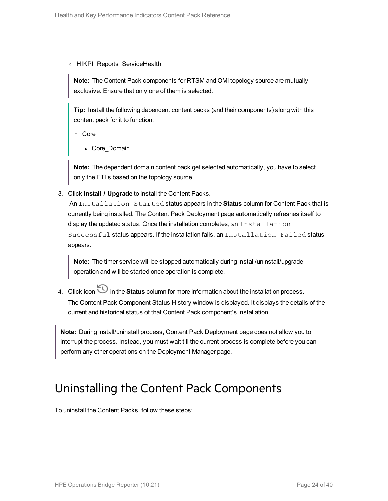<sup>o</sup> HIKPI\_Reports\_ServiceHealth

**Note:** The Content Pack components for RTSM and OMi topology source are mutually exclusive. Ensure that only one of them is selected.

**Tip:** Install the following dependent content packs (and their components) along with this content pack for it to function:

<sup>o</sup> Core

• Core Domain

**Note:** The dependent domain content pack get selected automatically, you have to select only the ETLs based on the topology source.

3. Click **Install / Upgrade** to install the Content Packs.

An Installation Started status appears in the **Status** column for Content Pack that is currently being installed. The Content Pack Deployment page automatically refreshes itself to display the updated status. Once the installation completes, an Installation Successful status appears. If the installation fails, an Installation Failed status appears.

**Note:** The timer service will be stopped automatically during install/uninstall/upgrade operation and will be started once operation is complete.

4. Click icon in the **Status** column for more information about the installation process. The Content Pack Component Status History window is displayed. It displays the details of the current and historical status of that Content Pack component's installation.

**Note:** During install/uninstall process, Content Pack Deployment page does not allow you to interrupt the process. Instead, you must wait till the current process is complete before you can perform any other operations on the Deployment Manager page.

### <span id="page-23-0"></span>Uninstalling the Content Pack Components

To uninstall the Content Packs, follow these steps: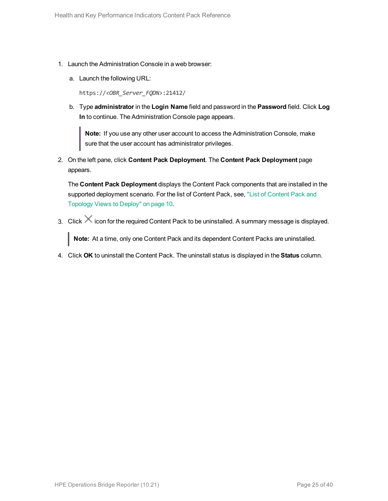- 1. Launch the Administration Console in a web browser:
	- a. Launch the following URL:

https://*<OBR\_Server\_FQDN>*:21412/

b. Type **administrator** in the **Login Name** field and password in the **Password** field. Click **Log In** to continue. The Administration Console page appears.

**Note:** If you use any other user account to access the Administration Console, make sure that the user account has administrator privileges.

2. On the left pane, click **Content Pack Deployment**. The **Content Pack Deployment** page appears.

The **Content Pack Deployment** displays the Content Pack components that are installed in the supported deployment scenario. For the list of [Content](#page-9-1) Pack, see, "List of Content Pack and [Topology](#page-9-1) Views to Deploy" on page 10.

3. Click  $\times$  icon for the required Content Pack to be uninstalled. A summary message is displayed.

**Note:** At a time, only one Content Pack and its dependent Content Packs are uninstalled.

4. Click **OK** to uninstall the Content Pack. The uninstall status is displayed in the **Status** column.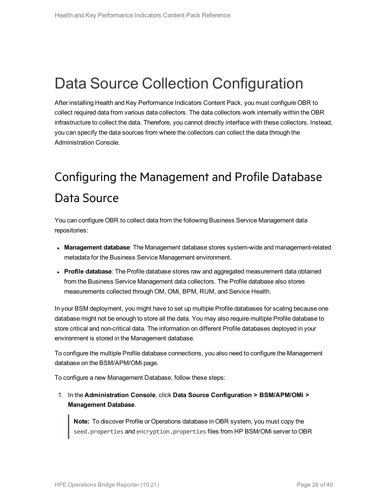## <span id="page-25-0"></span>Data Source Collection Configuration

After installing Health and Key Performance Indicators Content Pack, you must configure OBR to collect required data from various data collectors. The data collectors work internally within the OBR infrastructure to collect the data. Therefore, you cannot directly interface with these collectors. Instead, you can specify the data sources from where the collectors can collect the data through the Administration Console.

## <span id="page-25-1"></span>Configuring the Management and Profile Database Data Source

You can configure OBR to collect data from the following Business Service Management data repositories:

- **Management database**: The Management database stores system-wide and management-related metadata for the Business Service Management environment.
- **Profile database**: The Profile database stores raw and aggregated measurement data obtained from the Business Service Management data collectors. The Profile database also stores measurements collected through OM, OMi, BPM, RUM, and Service Health.

In your BSM deployment, you might have to set up multiple Profile databases for scaling because one database might not be enough to store all the data. You may also require multiple Profile database to store critical and non-critical data. The information on different Profile databases deployed in your environment is stored in the Management database.

To configure the multiple Profile database connections, you also need to configure the Management database on the BSM/APM/OMi page.

To configure a new Management Database, follow these steps:

1. In the **Administration Console**, click **Data Source Configuration > BSM/APM/OMi > Management Database**.

**Note:** To discover Profile or Operations database in OBR system, you must copy the seed.properties and encryption.properties files from HP BSM/OMi server to OBR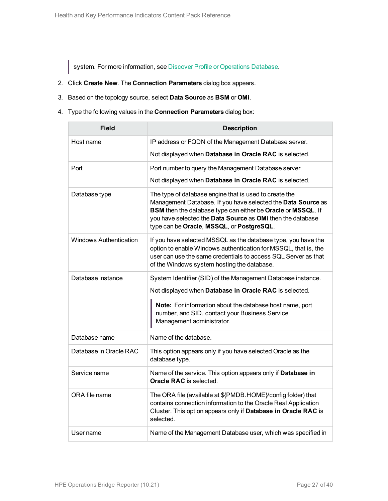system. For more information, see Discover Profile or [Operations](#page-30-0) Database.

- 2. Click **Create New**. The **Connection Parameters** dialog box appears.
- 3. Based on the topology source, select **Data Source** as **BSM** or **OMi**.
- 4. Type the following values in the **Connection Parameters** dialog box:

| <b>Field</b>                  | <b>Description</b>                                                                                                                                                                                                                                                                                |
|-------------------------------|---------------------------------------------------------------------------------------------------------------------------------------------------------------------------------------------------------------------------------------------------------------------------------------------------|
| Host name                     | IP address or FQDN of the Management Database server.                                                                                                                                                                                                                                             |
|                               | Not displayed when Database in Oracle RAC is selected.                                                                                                                                                                                                                                            |
| Port                          | Port number to query the Management Database server.                                                                                                                                                                                                                                              |
|                               | Not displayed when Database in Oracle RAC is selected.                                                                                                                                                                                                                                            |
| Database type                 | The type of database engine that is used to create the<br>Management Database. If you have selected the Data Source as<br>BSM then the database type can either be Oracle or MSSQL. If<br>you have selected the Data Source as OMi then the database<br>type can be Oracle, MSSQL, or PostgreSQL. |
| <b>Windows Authentication</b> | If you have selected MSSQL as the database type, you have the<br>option to enable Windows authentication for MSSQL, that is, the<br>user can use the same credentials to access SQL Server as that<br>of the Windows system hosting the database.                                                 |
| Database instance             | System Identifier (SID) of the Management Database instance.<br>Not displayed when Database in Oracle RAC is selected.<br>Note: For information about the database host name, port<br>number, and SID, contact your Business Service<br>Management administrator.                                 |
| Database name                 | Name of the database.                                                                                                                                                                                                                                                                             |
| Database in Oracle RAC        | This option appears only if you have selected Oracle as the<br>database type.                                                                                                                                                                                                                     |
| Service name                  | Name of the service. This option appears only if Database in<br><b>Oracle RAC</b> is selected.                                                                                                                                                                                                    |
| ORA file name                 | The ORA file (available at \${PMDB.HOME}/config folder) that<br>contains connection information to the Oracle Real Application<br>Cluster. This option appears only if Database in Oracle RAC is<br>selected.                                                                                     |
| User name                     | Name of the Management Database user, which was specified in                                                                                                                                                                                                                                      |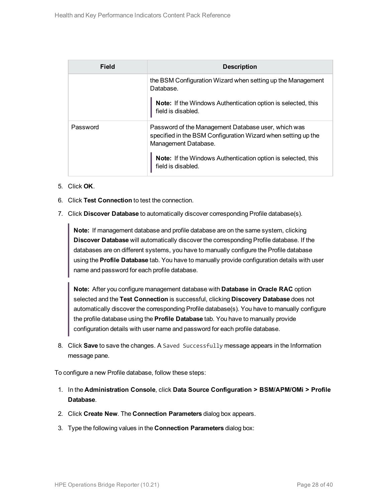| Field    | <b>Description</b>                                                                                                                           |
|----------|----------------------------------------------------------------------------------------------------------------------------------------------|
|          | the BSM Configuration Wizard when setting up the Management<br>Database.                                                                     |
|          | <b>Note:</b> If the Windows Authentication option is selected, this<br>field is disabled.                                                    |
| Password | Password of the Management Database user, which was<br>specified in the BSM Configuration Wizard when setting up the<br>Management Database. |
|          | <b>Note:</b> If the Windows Authentication option is selected, this<br>field is disabled.                                                    |

- 5. Click **OK**.
- 6. Click **Test Connection** to test the connection.
- 7. Click **Discover Database** to automatically discover corresponding Profile database(s).

**Note:** If management database and profile database are on the same system, clicking **Discover Database** will automatically discover the corresponding Profile database. If the databases are on different systems, you have to manually configure the Profile database using the **Profile Database** tab. You have to manually provide configuration details with user name and password for each profile database.

**Note:** After you configure management database with **Database in Oracle RAC** option selected and the **Test Connection** is successful, clicking **Discovery Database** does not automatically discover the corresponding Profile database(s). You have to manually configure the profile database using the **Profile Database** tab. You have to manually provide configuration details with user name and password for each profile database.

8. Click **Save** to save the changes. A Saved Successfully message appears in the Information message pane.

To configure a new Profile database, follow these steps:

- 1. In the **Administration Console**, click **Data Source Configuration > BSM/APM/OMi > Profile Database**.
- 2. Click **Create New**. The **Connection Parameters** dialog box appears.
- 3. Type the following values in the **Connection Parameters** dialog box: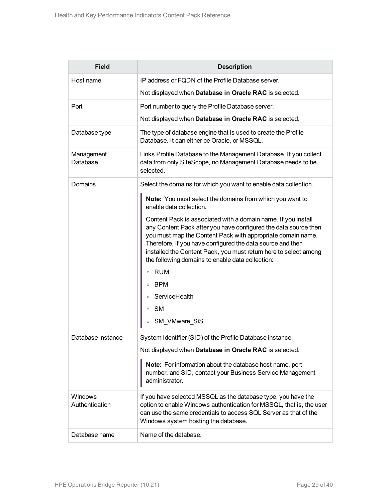| <b>Field</b>              | <b>Description</b>                                                                                                                                                                                                                                                                                                                                                                    |  |  |  |  |
|---------------------------|---------------------------------------------------------------------------------------------------------------------------------------------------------------------------------------------------------------------------------------------------------------------------------------------------------------------------------------------------------------------------------------|--|--|--|--|
| Host name                 | IP address or FQDN of the Profile Database server.                                                                                                                                                                                                                                                                                                                                    |  |  |  |  |
|                           | Not displayed when Database in Oracle RAC is selected.                                                                                                                                                                                                                                                                                                                                |  |  |  |  |
| Port                      | Port number to query the Profile Database server.                                                                                                                                                                                                                                                                                                                                     |  |  |  |  |
|                           | Not displayed when Database in Oracle RAC is selected.                                                                                                                                                                                                                                                                                                                                |  |  |  |  |
| Database type             | The type of database engine that is used to create the Profile<br>Database. It can either be Oracle, or MSSQL.                                                                                                                                                                                                                                                                        |  |  |  |  |
| Management<br>Database    | Links Profile Database to the Management Database. If you collect<br>data from only SiteScope, no Management Database needs to be<br>selected.                                                                                                                                                                                                                                        |  |  |  |  |
| Domains                   | Select the domains for which you want to enable data collection.                                                                                                                                                                                                                                                                                                                      |  |  |  |  |
|                           | Note: You must select the domains from which you want to<br>enable data collection.                                                                                                                                                                                                                                                                                                   |  |  |  |  |
|                           | Content Pack is associated with a domain name. If you install<br>any Content Pack after you have configured the data source then<br>you must map the Content Pack with appropriate domain name.<br>Therefore, if you have configured the data source and then<br>installed the Content Pack, you must return here to select among<br>the following domains to enable data collection: |  |  |  |  |
|                           | RUM<br>$\circ$                                                                                                                                                                                                                                                                                                                                                                        |  |  |  |  |
|                           | BPM                                                                                                                                                                                                                                                                                                                                                                                   |  |  |  |  |
|                           | ServiceHealth                                                                                                                                                                                                                                                                                                                                                                         |  |  |  |  |
|                           | <b>SM</b><br>$\circ$                                                                                                                                                                                                                                                                                                                                                                  |  |  |  |  |
|                           | SM_VMware_SiS                                                                                                                                                                                                                                                                                                                                                                         |  |  |  |  |
| Database instance         | System Identifier (SID) of the Profile Database instance.                                                                                                                                                                                                                                                                                                                             |  |  |  |  |
|                           | Not displayed when Database in Oracle RAC is selected.                                                                                                                                                                                                                                                                                                                                |  |  |  |  |
|                           | Note: For information about the database host name, port<br>number, and SID, contact your Business Service Management<br>administrator.                                                                                                                                                                                                                                               |  |  |  |  |
| Windows<br>Authentication | If you have selected MSSQL as the database type, you have the<br>option to enable Windows authentication for MSSQL, that is, the user<br>can use the same credentials to access SQL Server as that of the<br>Windows system hosting the database.                                                                                                                                     |  |  |  |  |
| Database name             | Name of the database.                                                                                                                                                                                                                                                                                                                                                                 |  |  |  |  |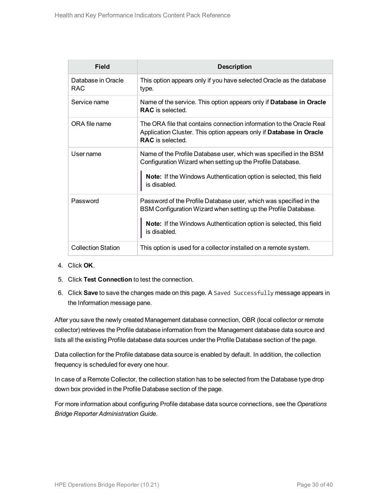| Field                      | <b>Description</b>                                                                                                                                                                                                               |
|----------------------------|----------------------------------------------------------------------------------------------------------------------------------------------------------------------------------------------------------------------------------|
| Database in Oracle<br>RAC. | This option appears only if you have selected Oracle as the database<br>type.                                                                                                                                                    |
| Service name               | Name of the service. This option appears only if Database in Oracle<br><b>RAC</b> is selected.                                                                                                                                   |
| ORA file name              | The ORA file that contains connection information to the Oracle Real<br>Application Cluster. This option appears only if Database in Oracle<br><b>RAC</b> is selected.                                                           |
| User name                  | Name of the Profile Database user, which was specified in the BSM<br>Configuration Wizard when setting up the Profile Database.<br><b>Note:</b> If the Windows Authentication option is selected, this field<br>is disabled.     |
| Password                   | Password of the Profile Database user, which was specified in the<br>BSM Configuration Wizard when setting up the Profile Database.<br><b>Note:</b> If the Windows Authentication option is selected, this field<br>is disabled. |
| <b>Collection Station</b>  | This option is used for a collector installed on a remote system.                                                                                                                                                                |

- 4. Click **OK**.
- 5. Click **Test Connection** to test the connection.
- 6. Click **Save** to save the changes made on this page. A Saved Successfully message appears in the Information message pane.

After you save the newly created Management database connection, OBR (local collector or remote collector) retrieves the Profile database information from the Management database data source and lists all the existing Profile database data sources under the Profile Database section of the page.

Data collection for the Profile database data source is enabled by default. In addition, the collection frequency is scheduled for every one hour.

In case of a Remote Collector, the collection station has to be selected from the Database type drop down box provided in the Profile Database section of the page.

For more information about configuring Profile database data source connections, see the *Operations Bridge Reporter Administration Guide*.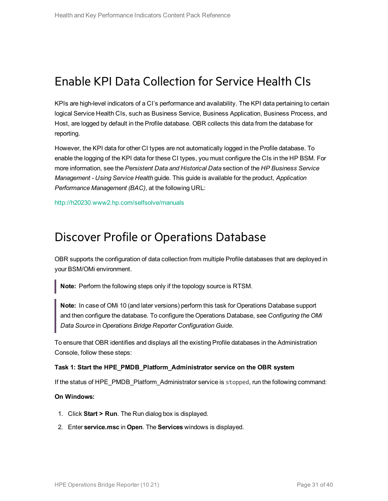### Enable KPI Data Collection for Service Health CIs

KPIs are high-level indicators of a CI's performance and availability. The KPI data pertaining to certain logical Service Health CIs, such as Business Service, Business Application, Business Process, and Host, are logged by default in the Profile database. OBR collects this data from the database for reporting.

However, the KPI data for other CI types are not automatically logged in the Profile database. To enable the logging of the KPI data for these CI types, you must configure the CIs in the HP BSM. For more information, see the *Persistent Data and Historical Data* section of the *HP Business Service Management - Using Service Health* guide. This guide is available for the product, *Application Performance Management (BAC)*, at the following URL:

<span id="page-30-0"></span><http://h20230.www2.hp.com/selfsolve/manuals>

### Discover Profile or Operations Database

OBR supports the configuration of data collection from multiple Profile databases that are deployed in your BSM/OMi environment.

**Note:** Perform the following steps only if the topology source is RTSM.

**Note:** In case of OMi 10 (and later versions) perform this task for Operations Database support and then configure the database. To configure the Operations Database, see *Configuring the OMi Data Source* in *Operations Bridge Reporter Configuration Guide*.

To ensure that OBR identifies and displays all the existing Profile databases in the Administration Console, follow these steps:

#### **Task 1: Start the HPE\_PMDB\_Platform\_Administrator service on the OBR system**

If the status of HPE\_PMDB\_Platform\_Administrator service is stopped, run the following command:

#### **On Windows:**

- 1. Click **Start > Run**. The Run dialog box is displayed.
- 2. Enter **service.msc** in **Open**. The **Services** windows is displayed.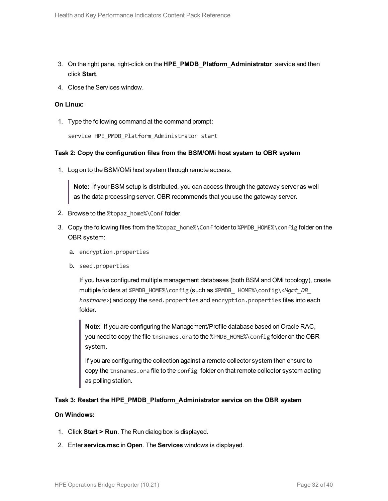- 3. On the right pane, right-click on the **HPE\_PMDB\_Platform\_Administrator** service and then click **Start**.
- 4. Close the Services window.

#### **On Linux:**

1. Type the following command at the command prompt:

service HPE\_PMDB\_Platform\_Administrator start

#### **Task 2: Copy the configuration files from the BSM/OMi host system to OBR system**

1. Log on to the BSM/OMi host system through remote access.

**Note:** If your BSM setup is distributed, you can access through the gateway server as well as the data processing server. OBR recommends that you use the gateway server.

- 2. Browse to the %topaz\_home%\Conf folder.
- 3. Copy the following files from the %topaz\_home%\Conf folder to %PMDB\_HOME%\config folder on the OBR system:
	- a. encryption.properties
	- b. seed.properties

If you have configured multiple management databases (both BSM and OMi topology), create multiple folders at %PMDB\_HOME%\config (such as %PMDB\_ HOME%\config\<*Mgmt\_DB\_ hostname*>) and copy the seed.properties and encryption.properties files into each folder.

**Note:** If you are configuring the Management/Profile database based on Oracle RAC, you need to copy the file tnsnames.ora to the %PMDB\_HOME%\config folder on the OBR system.

If you are configuring the collection against a remote collector system then ensure to copy the tnsnames.ora file to the config folder on that remote collector system acting as polling station.

#### **Task 3: Restart the HPE\_PMDB\_Platform\_Administrator service on the OBR system**

#### **On Windows:**

- 1. Click **Start > Run**. The Run dialog box is displayed.
- 2. Enter **service.msc** in **Open**. The **Services** windows is displayed.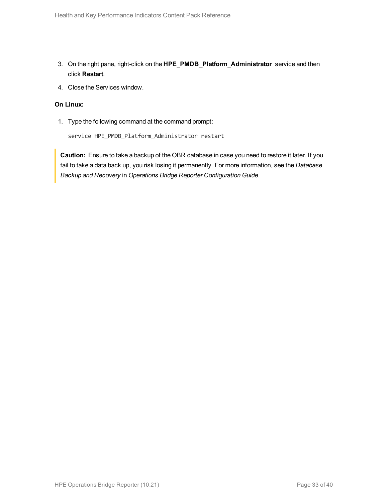- 3. On the right pane, right-click on the **HPE\_PMDB\_Platform\_Administrator** service and then click **Restart**.
- 4. Close the Services window.

#### **On Linux:**

1. Type the following command at the command prompt:

service HPE\_PMDB\_Platform\_Administrator restart

**Caution:** Ensure to take a backup of the OBR database in case you need to restore it later. If you fail to take a data back up, you risk losing it permanently. For more information, see the *Database Backup and Recovery* in *Operations Bridge Reporter Configuration Guide*.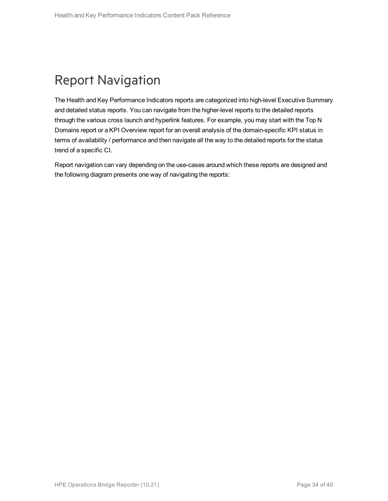## <span id="page-33-0"></span>Report Navigation

The Health and Key Performance Indicators reports are categorized into high-level Executive Summary and detailed status reports. You can navigate from the higher-level reports to the detailed reports through the various cross launch and hyperlink features. For example, you may start with the Top N Domains report or a KPI Overview report for an overall analysis of the domain-specific KPI status in terms of availability / performance and then navigate all the way to the detailed reports for the status trend of a specific CI.

Report navigation can vary depending on the use-cases around which these reports are designed and the following diagram presents one way of navigating the reports: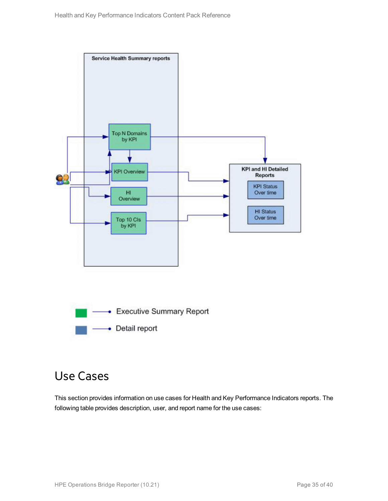

### <span id="page-34-0"></span>Use Cases

This section provides information on use cases for Health and Key Performance Indicators reports. The following table provides description, user, and report name for the use cases: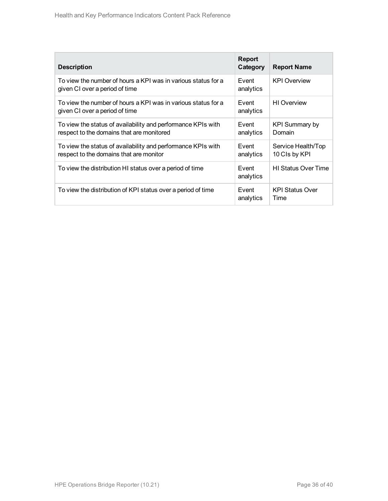| <b>Description</b>                                                                                        | Report<br>Category | <b>Report Name</b>                    |
|-----------------------------------------------------------------------------------------------------------|--------------------|---------------------------------------|
| To view the number of hours a KPI was in various status for a<br>given CI over a period of time           | Event<br>analytics | <b>KPI Overview</b>                   |
| To view the number of hours a KPI was in various status for a<br>given CI over a period of time           | Event<br>analytics | <b>HI</b> Overview                    |
| To view the status of availability and performance KPIs with<br>respect to the domains that are monitored | Event<br>analytics | <b>KPI Summary by</b><br>Domain       |
| To view the status of availability and performance KPIs with<br>respect to the domains that are monitor   | Event<br>analytics | Service Health/Top<br>10 CIs by KPI   |
| To view the distribution HI status over a period of time                                                  | Event<br>analytics | <b>HI Status Over Time</b>            |
| To view the distribution of KPI status over a period of time                                              | Event<br>analytics | <b>KPI Status Over</b><br><b>Time</b> |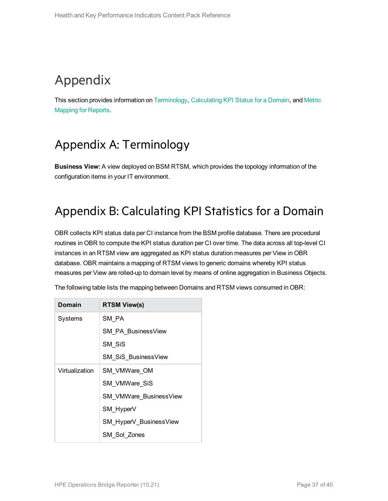## <span id="page-36-0"></span>Appendix

<span id="page-36-1"></span>This section provides information on [Terminology](#page-36-1), [Calculating](#page-36-2) KPI Status for a Domain, and [Metric](#page-37-0) [Mapping](#page-37-0) for Reports.

### Appendix A: Terminology

<span id="page-36-2"></span>**Business View:** A view deployed on BSM RTSM, which provides the topology information of the configuration items in your IT environment.

### Appendix B: Calculating KPI Statistics for a Domain

OBR collects KPI status data per CI instance from the BSM profile database. There are procedural routines in OBR to compute the KPI status duration per CI over time. The data across all top-level CI instances in an RTSM view are aggregated as KPI status duration measures per View in OBR database. OBR maintains a mapping of RTSM views to generic domains whereby KPI status measures per View are rolled-up to domain level by means of online aggregation in Business Objects.

| Domain         | <b>RTSM View(s)</b>           |
|----------------|-------------------------------|
| Systems        | SM PA                         |
|                | <b>SM PA BusinessView</b>     |
|                | SM SiS                        |
|                | SM_SiS_BusinessView           |
| Virtualization | SM VMWare OM                  |
|                | SM VMWare SiS                 |
|                | <b>SM VMWare BusinessView</b> |
|                | SM HyperV                     |
|                | SM_HyperV_BusinessView        |
|                | SM Sol Zones                  |

The following table lists the mapping between Domains and RTSM views consumed in OBR: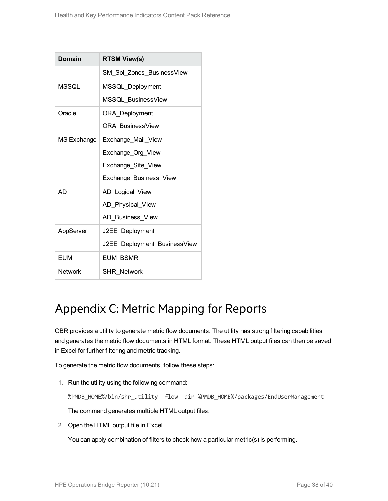| Domain             | <b>RTSM View(s)</b>          |
|--------------------|------------------------------|
|                    | SM Sol Zones BusinessView    |
| <b>MSSQL</b>       | MSSQL Deployment             |
|                    | MSSQL BusinessView           |
| Oracle             | ORA_Deployment               |
|                    | ORA BusinessView             |
| <b>MS Exchange</b> | Exchange Mail View           |
|                    | Exchange_Org_View            |
|                    | Exchange_Site_View           |
|                    | Exchange_Business_View       |
| AD.                | AD_Logical_View              |
|                    | AD_Physical_View             |
|                    | AD Business_View             |
| AppServer          | J2EE Deployment              |
|                    | J2EE_Deployment_BusinessView |
| EUM                | <b>EUM BSMR</b>              |
| Network            | <b>SHR Network</b>           |

### <span id="page-37-0"></span>Appendix C: Metric Mapping for Reports

OBR provides a utility to generate metric flow documents. The utility has strong filtering capabilities and generates the metric flow documents in HTML format. These HTML output files can then be saved in Excel for further filtering and metric tracking.

To generate the metric flow documents, follow these steps:

1. Run the utility using the following command:

%PMDB\_HOME%/bin/shr\_utility -flow -dir %PMDB\_HOME%/packages/EndUserManagement

The command generates multiple HTML output files.

2. Open the HTML output file in Excel.

You can apply combination of filters to check how a particular metric(s) is performing.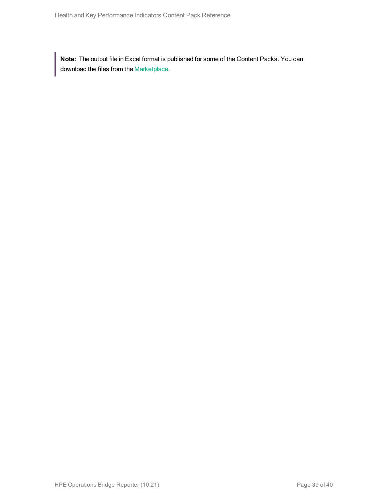**Note:** The output file in Excel format is published for some of the Content Packs. You can download the files from the [Marketplace.](https://hpln.hp.com/node/24267/attachment)